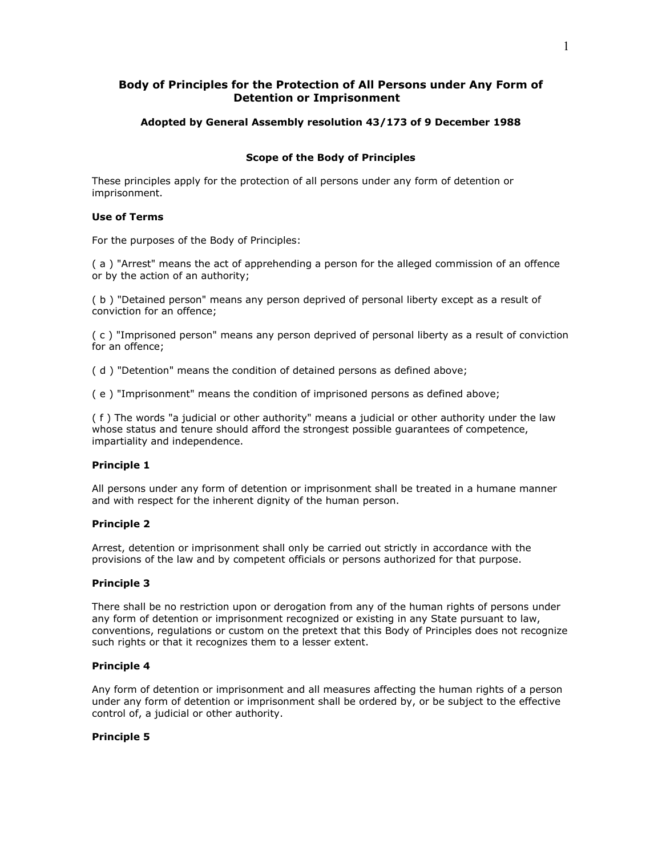# **Body of Principles for the Protection of All Persons under Any Form of Detention or Imprisonment**

# **Adopted by General Assembly resolution 43/173 of 9 December 1988**

# **Scope of the Body of Principles**

These principles apply for the protection of all persons under any form of detention or imprisonment.

# **Use of Terms**

For the purposes of the Body of Principles:

( a ) "Arrest" means the act of apprehending a person for the alleged commission of an offence or by the action of an authority;

( b ) "Detained person" means any person deprived of personal liberty except as a result of conviction for an offence;

( c ) "Imprisoned person" means any person deprived of personal liberty as a result of conviction for an offence;

( d ) "Detention" means the condition of detained persons as defined above;

( e ) "Imprisonment" means the condition of imprisoned persons as defined above;

( f ) The words "a judicial or other authority" means a judicial or other authority under the law whose status and tenure should afford the strongest possible guarantees of competence, impartiality and independence.

### **Principle 1**

All persons under any form of detention or imprisonment shall be treated in a humane manner and with respect for the inherent dignity of the human person.

# **Principle 2**

Arrest, detention or imprisonment shall only be carried out strictly in accordance with the provisions of the law and by competent officials or persons authorized for that purpose.

# **Principle 3**

There shall be no restriction upon or derogation from any of the human rights of persons under any form of detention or imprisonment recognized or existing in any State pursuant to law, conventions, regulations or custom on the pretext that this Body of Principles does not recognize such rights or that it recognizes them to a lesser extent.

## **Principle 4**

Any form of detention or imprisonment and all measures affecting the human rights of a person under any form of detention or imprisonment shall be ordered by, or be subject to the effective control of, a judicial or other authority.

# **Principle 5**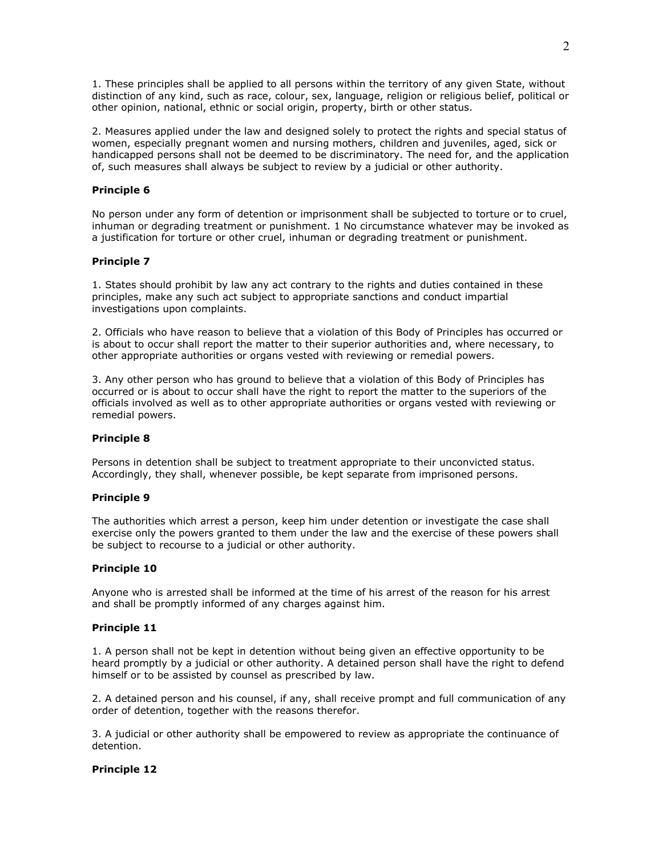1. These principles shall be applied to all persons within the territory of any given State, without distinction of any kind, such as race, colour, sex, language, religion or religious belief, political or other opinion, national, ethnic or social origin, property, birth or other status.

2. Measures applied under the law and designed solely to protect the rights and special status of women, especially pregnant women and nursing mothers, children and juveniles, aged, sick or handicapped persons shall not be deemed to be discriminatory. The need for, and the application of, such measures shall always be subject to review by a judicial or other authority.

# **Principle 6**

No person under any form of detention or imprisonment shall be subjected to torture or to cruel, inhuman or degrading treatment or punishment. 1 No circumstance whatever may be invoked as a justification for torture or other cruel, inhuman or degrading treatment or punishment.

# **Principle 7**

1. States should prohibit by law any act contrary to the rights and duties contained in these principles, make any such act subject to appropriate sanctions and conduct impartial investigations upon complaints.

2. Officials who have reason to believe that a violation of this Body of Principles has occurred or is about to occur shall report the matter to their superior authorities and, where necessary, to other appropriate authorities or organs vested with reviewing or remedial powers.

3. Any other person who has ground to believe that a violation of this Body of Principles has occurred or is about to occur shall have the right to report the matter to the superiors of the officials involved as well as to other appropriate authorities or organs vested with reviewing or remedial powers.

### **Principle 8**

Persons in detention shall be subject to treatment appropriate to their unconvicted status. Accordingly, they shall, whenever possible, be kept separate from imprisoned persons.

### **Principle 9**

The authorities which arrest a person, keep him under detention or investigate the case shall exercise only the powers granted to them under the law and the exercise of these powers shall be subject to recourse to a judicial or other authority.

### **Principle 10**

Anyone who is arrested shall be informed at the time of his arrest of the reason for his arrest and shall be promptly informed of any charges against him.

### **Principle 11**

1. A person shall not be kept in detention without being given an effective opportunity to be heard promptly by a judicial or other authority. A detained person shall have the right to defend himself or to be assisted by counsel as prescribed by law.

2. A detained person and his counsel, if any, shall receive prompt and full communication of any order of detention, together with the reasons therefor.

3. A judicial or other authority shall be empowered to review as appropriate the continuance of detention.

# **Principle 12**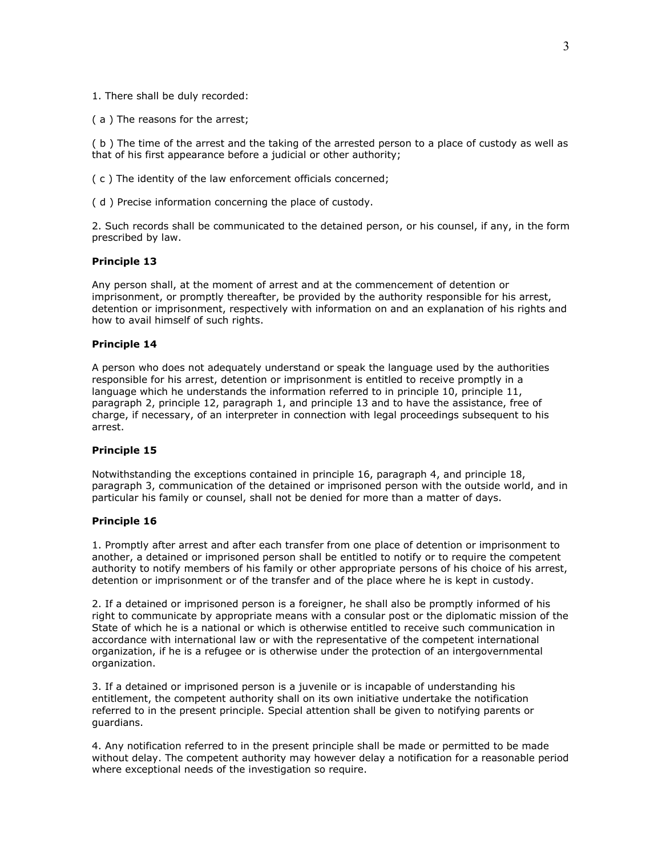1. There shall be duly recorded:

( a ) The reasons for the arrest;

( b ) The time of the arrest and the taking of the arrested person to a place of custody as well as that of his first appearance before a judicial or other authority;

( c ) The identity of the law enforcement officials concerned;

( d ) Precise information concerning the place of custody.

2. Such records shall be communicated to the detained person, or his counsel, if any, in the form prescribed by law.

# **Principle 13**

Any person shall, at the moment of arrest and at the commencement of detention or imprisonment, or promptly thereafter, be provided by the authority responsible for his arrest, detention or imprisonment, respectively with information on and an explanation of his rights and how to avail himself of such rights.

#### **Principle 14**

A person who does not adequately understand or speak the language used by the authorities responsible for his arrest, detention or imprisonment is entitled to receive promptly in a language which he understands the information referred to in principle 10, principle 11, paragraph 2, principle 12, paragraph 1, and principle 13 and to have the assistance, free of charge, if necessary, of an interpreter in connection with legal proceedings subsequent to his arrest.

#### **Principle 15**

Notwithstanding the exceptions contained in principle 16, paragraph 4, and principle 18, paragraph 3, communication of the detained or imprisoned person with the outside world, and in particular his family or counsel, shall not be denied for more than a matter of days.

# **Principle 16**

1. Promptly after arrest and after each transfer from one place of detention or imprisonment to another, a detained or imprisoned person shall be entitled to notify or to require the competent authority to notify members of his family or other appropriate persons of his choice of his arrest, detention or imprisonment or of the transfer and of the place where he is kept in custody.

2. If a detained or imprisoned person is a foreigner, he shall also be promptly informed of his right to communicate by appropriate means with a consular post or the diplomatic mission of the State of which he is a national or which is otherwise entitled to receive such communication in accordance with international law or with the representative of the competent international organization, if he is a refugee or is otherwise under the protection of an intergovernmental organization.

3. If a detained or imprisoned person is a juvenile or is incapable of understanding his entitlement, the competent authority shall on its own initiative undertake the notification referred to in the present principle. Special attention shall be given to notifying parents or guardians.

4. Any notification referred to in the present principle shall be made or permitted to be made without delay. The competent authority may however delay a notification for a reasonable period where exceptional needs of the investigation so require.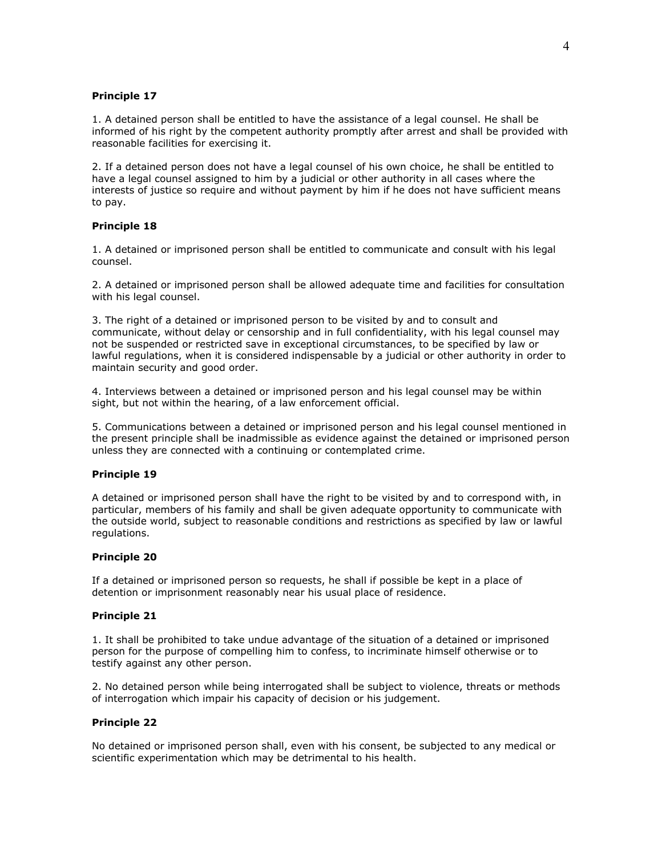# **Principle 17**

1. A detained person shall be entitled to have the assistance of a legal counsel. He shall be informed of his right by the competent authority promptly after arrest and shall be provided with reasonable facilities for exercising it.

2. If a detained person does not have a legal counsel of his own choice, he shall be entitled to have a legal counsel assigned to him by a judicial or other authority in all cases where the interests of justice so require and without payment by him if he does not have sufficient means to pay.

# **Principle 18**

1. A detained or imprisoned person shall be entitled to communicate and consult with his legal counsel.

2. A detained or imprisoned person shall be allowed adequate time and facilities for consultation with his legal counsel.

3. The right of a detained or imprisoned person to be visited by and to consult and communicate, without delay or censorship and in full confidentiality, with his legal counsel may not be suspended or restricted save in exceptional circumstances, to be specified by law or lawful regulations, when it is considered indispensable by a judicial or other authority in order to maintain security and good order.

4. Interviews between a detained or imprisoned person and his legal counsel may be within sight, but not within the hearing, of a law enforcement official.

5. Communications between a detained or imprisoned person and his legal counsel mentioned in the present principle shall be inadmissible as evidence against the detained or imprisoned person unless they are connected with a continuing or contemplated crime.

### **Principle 19**

A detained or imprisoned person shall have the right to be visited by and to correspond with, in particular, members of his family and shall be given adequate opportunity to communicate with the outside world, subject to reasonable conditions and restrictions as specified by law or lawful regulations.

### **Principle 20**

If a detained or imprisoned person so requests, he shall if possible be kept in a place of detention or imprisonment reasonably near his usual place of residence.

### **Principle 21**

1. It shall be prohibited to take undue advantage of the situation of a detained or imprisoned person for the purpose of compelling him to confess, to incriminate himself otherwise or to testify against any other person.

2. No detained person while being interrogated shall be subject to violence, threats or methods of interrogation which impair his capacity of decision or his judgement.

# **Principle 22**

No detained or imprisoned person shall, even with his consent, be subjected to any medical or scientific experimentation which may be detrimental to his health.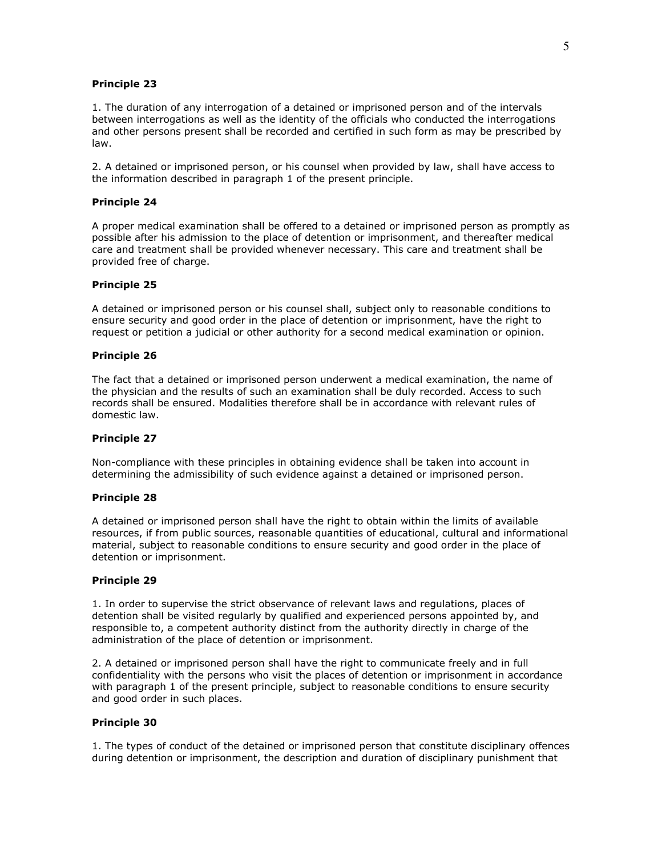## **Principle 23**

1. The duration of any interrogation of a detained or imprisoned person and of the intervals between interrogations as well as the identity of the officials who conducted the interrogations and other persons present shall be recorded and certified in such form as may be prescribed by law.

2. A detained or imprisoned person, or his counsel when provided by law, shall have access to the information described in paragraph 1 of the present principle.

## **Principle 24**

A proper medical examination shall be offered to a detained or imprisoned person as promptly as possible after his admission to the place of detention or imprisonment, and thereafter medical care and treatment shall be provided whenever necessary. This care and treatment shall be provided free of charge.

#### **Principle 25**

A detained or imprisoned person or his counsel shall, subject only to reasonable conditions to ensure security and good order in the place of detention or imprisonment, have the right to request or petition a judicial or other authority for a second medical examination or opinion.

# **Principle 26**

The fact that a detained or imprisoned person underwent a medical examination, the name of the physician and the results of such an examination shall be duly recorded. Access to such records shall be ensured. Modalities therefore shall be in accordance with relevant rules of domestic law.

## **Principle 27**

Non-compliance with these principles in obtaining evidence shall be taken into account in determining the admissibility of such evidence against a detained or imprisoned person.

#### **Principle 28**

A detained or imprisoned person shall have the right to obtain within the limits of available resources, if from public sources, reasonable quantities of educational, cultural and informational material, subject to reasonable conditions to ensure security and good order in the place of detention or imprisonment.

#### **Principle 29**

1. In order to supervise the strict observance of relevant laws and regulations, places of detention shall be visited regularly by qualified and experienced persons appointed by, and responsible to, a competent authority distinct from the authority directly in charge of the administration of the place of detention or imprisonment.

2. A detained or imprisoned person shall have the right to communicate freely and in full confidentiality with the persons who visit the places of detention or imprisonment in accordance with paragraph 1 of the present principle, subject to reasonable conditions to ensure security and good order in such places.

### **Principle 30**

1. The types of conduct of the detained or imprisoned person that constitute disciplinary offences during detention or imprisonment, the description and duration of disciplinary punishment that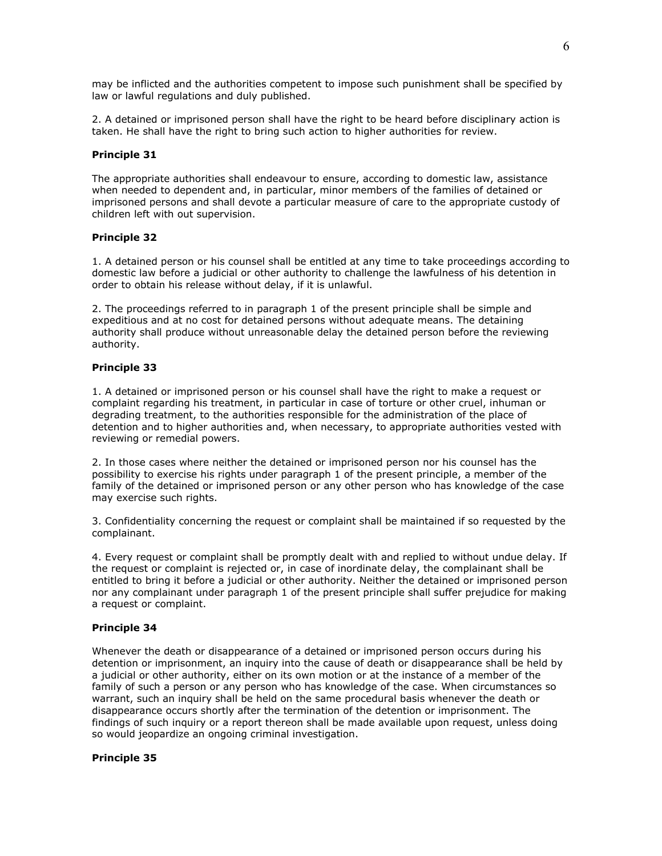may be inflicted and the authorities competent to impose such punishment shall be specified by law or lawful regulations and duly published.

2. A detained or imprisoned person shall have the right to be heard before disciplinary action is taken. He shall have the right to bring such action to higher authorities for review.

## **Principle 31**

The appropriate authorities shall endeavour to ensure, according to domestic law, assistance when needed to dependent and, in particular, minor members of the families of detained or imprisoned persons and shall devote a particular measure of care to the appropriate custody of children left with out supervision.

# **Principle 32**

1. A detained person or his counsel shall be entitled at any time to take proceedings according to domestic law before a judicial or other authority to challenge the lawfulness of his detention in order to obtain his release without delay, if it is unlawful.

2. The proceedings referred to in paragraph 1 of the present principle shall be simple and expeditious and at no cost for detained persons without adequate means. The detaining authority shall produce without unreasonable delay the detained person before the reviewing authority.

# **Principle 33**

1. A detained or imprisoned person or his counsel shall have the right to make a request or complaint regarding his treatment, in particular in case of torture or other cruel, inhuman or degrading treatment, to the authorities responsible for the administration of the place of detention and to higher authorities and, when necessary, to appropriate authorities vested with reviewing or remedial powers.

2. In those cases where neither the detained or imprisoned person nor his counsel has the possibility to exercise his rights under paragraph 1 of the present principle, a member of the family of the detained or imprisoned person or any other person who has knowledge of the case may exercise such rights.

3. Confidentiality concerning the request or complaint shall be maintained if so requested by the complainant.

4. Every request or complaint shall be promptly dealt with and replied to without undue delay. If the request or complaint is rejected or, in case of inordinate delay, the complainant shall be entitled to bring it before a judicial or other authority. Neither the detained or imprisoned person nor any complainant under paragraph 1 of the present principle shall suffer prejudice for making a request or complaint.

#### **Principle 34**

Whenever the death or disappearance of a detained or imprisoned person occurs during his detention or imprisonment, an inquiry into the cause of death or disappearance shall be held by a judicial or other authority, either on its own motion or at the instance of a member of the family of such a person or any person who has knowledge of the case. When circumstances so warrant, such an inquiry shall be held on the same procedural basis whenever the death or disappearance occurs shortly after the termination of the detention or imprisonment. The findings of such inquiry or a report thereon shall be made available upon request, unless doing so would jeopardize an ongoing criminal investigation.

#### **Principle 35**